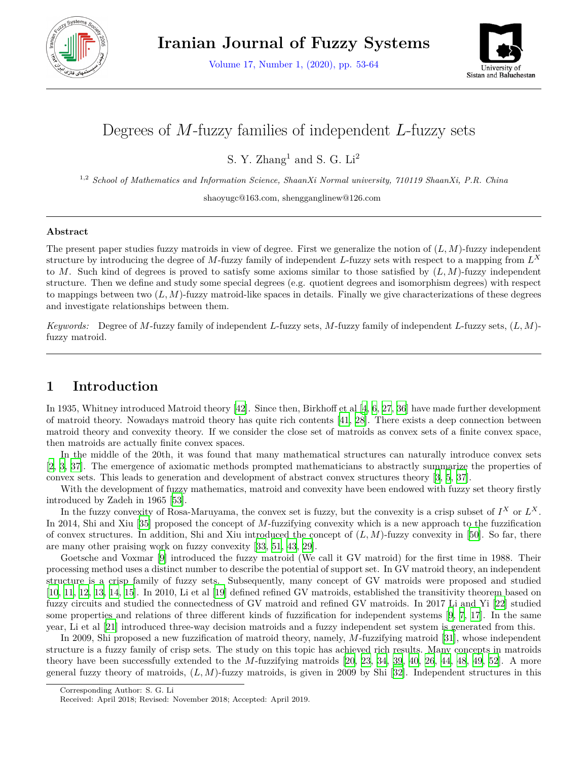

Volume 17, Number 1, (2020), pp. 53-64



# Degrees of *M*-fuzzy families of independent *L*-fuzzy sets

S. Y. Zhang<sup>1</sup> and S. G.  $Li<sup>2</sup>$ 

1,2 *School of Mathematics and Information Science, ShaanXi Normal university, 710119 ShaanXi, P.R. China*

shaoyugc@163.com, shengganglinew@126.com

#### **Abstract**

The present paper studies fuzzy matroids in view of degree. First we generalize the notion of (*L, M*)-fuzzy independent structure by introducing the degree of *M*-fuzzy family of independent *L*-fuzzy sets with respect to a mapping from *L X* to *M*. Such kind of degrees is proved to satisfy some axioms similar to those satisfied by (*L, M*)-fuzzy independent structure. Then we define and study some special degrees (e.g. quotient degrees and isomorphism degrees) with respect to mappings between two  $(L, M)$ -fuzzy matroid-like spaces in details. Finally we give characterizations of these degrees and investigate relationships between them.

*Keywords:* Degree of *M*-fuzzy family of independent *L*-fuzzy sets, *M*-fuzzy family of independent *L*-fuzzy sets, (*L, M*) fuzzy matroid.

## **1 Introduction**

In 1935, Whitney introduced Matroid theory [[42\]](#page-10-0). Since then, Birkhoff et al [\[4](#page-9-0), [6,](#page-9-1) [27,](#page-10-1) [36](#page-10-2)] have made further development of matroid theory. Nowadays matroid theory has quite rich contents [[41,](#page-10-3) [28\]](#page-10-4). There exists a deep connection between matroid theory and convexity theory. If we consider the close set of matroids as convex sets of a finite convex space, then matroids are actually finite convex spaces.

In the middle of the 20th, it was found that many mathematical structures can naturally introduce convex sets [[2,](#page-9-2) [3](#page-9-3), [37\]](#page-10-5). The emergence of axiomatic methods prompted mathematicians to abstractly summarize the properties of convex sets. This leads to generation and development of abstract convex structures theory [[3,](#page-9-3) [5,](#page-9-4) [37\]](#page-10-5).

With the development of fuzzy mathematics, matroid and convexity have been endowed with fuzzy set theory firstly introduced by Zadeh in 1965 [\[53](#page-11-0)].

In the fuzzy convexity of Rosa-Maruyama, the convex set is fuzzy, but the convexity is a crisp subset of  $I^X$  or  $L^X$ . In 2014, Shi and Xiu [\[35](#page-10-6)] proposed the concept of *M*-fuzzifying convexity which is a new approach to the fuzzification of convex structures. In addition, Shi and Xiu introduced the concept of  $(L, M)$ -fuzzy convexity in [[50\]](#page-11-1). So far, there are many other praising work on fuzzy convexity [[33,](#page-10-7) [51,](#page-11-2) [43](#page-10-8), [29](#page-10-9)].

Goetsche and Voxmar [\[9](#page-9-5)] introduced the fuzzy matroid (We call it GV matroid) for the first time in 1988. Their processing method uses a distinct number to describe the potential of support set. In GV matroid theory, an independent structure is a crisp family of fuzzy sets. Subsequently, many concept of GV matroids were proposed and studied [[10,](#page-9-6) [11,](#page-9-7) [12](#page-9-8), [13](#page-9-9), [14,](#page-9-10) [15\]](#page-9-11). In 2010, Li et al[[19\]](#page-9-12) defined refined GV matroids, established the transitivity theorem based on fuzzy circuits and studied the connectedness of GV matroid and refined GV matroids. In 2017 Li and Yi [[22\]](#page-10-10) studied some properties and relations of three different kinds of fuzzification for independent systems [\[9](#page-9-5), [7,](#page-9-13) [17](#page-9-14)]. In the same year, Li et al [\[21](#page-10-11)] introduced three-way decision matroids and a fuzzy independent set system is generated from this.

In 2009, Shi proposed a new fuzzification of matroid theory, namely, *M*-fuzzifying matroid [[31\]](#page-10-12), whose independent structure is a fuzzy family of crisp sets. The study on this topic has achieved rich results. Many concepts in matroids theory have been successfully extended to the *M*-fuzzifying matroids [[20,](#page-10-13) [23](#page-10-14), [34,](#page-10-15) [39](#page-10-16), [40](#page-10-17), [26,](#page-10-18) [44](#page-10-19), [48,](#page-11-3) [49,](#page-11-4) [52](#page-11-5)]. A more general fuzzy theory of matroids, (*L, M*)-fuzzy matroids, is given in 2009 by Shi [[32\]](#page-10-20). Independent structures in this

Corresponding Author: S. G. Li

Received: April 2018; Revised: November 2018; Accepted: April 2019.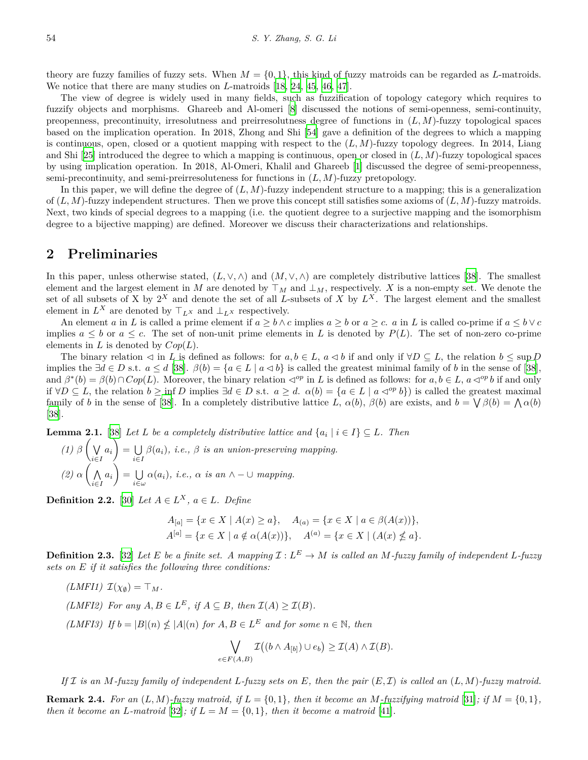theory are fuzzy families of fuzzy sets. When  $M = \{0, 1\}$ , this kind of fuzzy matroids can be regarded as *L*-matroids. We notice that there are many studies on *L*-matroids [\[18](#page-9-15), [24](#page-10-21), [45](#page-10-22), [46](#page-10-23), [47](#page-11-6)].

The view of degree is widely used in many fields, such as fuzzification of topology category which requires to fuzzify objects and morphisms. Ghareeb and Al-omeri [\[8](#page-9-16)] discussed the notions of semi-openness, semi-continuity, preopenness, precontinuity, irresolutness and preirresolutness degree of functions in (*L, M*)-fuzzy topological spaces based on the implication operation. In 2018, Zhong and Shi [[54](#page-11-7)] gave a definition of the degrees to which a mapping is continuous, open, closed or a quotient mapping with respect to the (*L, M*)-fuzzy topology degrees. In 2014, Liang and Shi[[25\]](#page-10-24) introduced the degree to which a mapping is continuous, open or closed in (*L, M*)-fuzzy topological spaces by using implication operation. In 2018, Al-Omeri, Khalil and Ghareeb [\[1](#page-9-17)] discussed the degree of semi-preopenness, semi-precontinuity, and semi-preirresoluteness for functions in (*L, M*)-fuzzy pretopology.

In this paper, we will define the degree of  $(L, M)$ -fuzzy independent structure to a mapping; this is a generalization of (*L, M*)-fuzzy independent structures. Then we prove this concept still satisfies some axioms of (*L, M*)-fuzzy matroids. Next, two kinds of special degrees to a mapping (i.e. the quotient degree to a surjective mapping and the isomorphism degree to a bijective mapping) are defined. Moreover we discuss their characterizations and relationships.

#### **2 Preliminaries**

In this paper, unless otherwise stated,  $(L, \vee, \wedge)$  and  $(M, \vee, \wedge)$  are completely distributive lattices [[38\]](#page-10-25). The smallest element and the largest element in *M* are denoted by  $\top_M$  and  $\bot_M$ , respectively. *X* is a non-empty set. We denote the set of all subsets of X by  $2^X$  and denote the set of all *L*-subsets of X by  $L^X$ . The largest element and the smallest element in  $L^X$  are denoted by  $\top_{L^X}$  and  $\bot_{L^X}$  respectively.

An element a in L is called a prime element if  $a \geq b \wedge c$  implies  $a \geq b$  or  $a \geq c$ . a in L is called co-prime if  $a \leq b \vee c$ implies  $a \leq b$  or  $a \leq c$ . The set of non-unit prime elements in L is denoted by  $P(L)$ . The set of non-zero co-prime elements in *L* is denoted by *Cop*(*L*).

The binary relation  $\triangleleft$  in *L* is defined as follows: for  $a, b \in L$ ,  $a \triangleleft b$  if and only if  $\forall D \subseteq L$ , the relation  $b \leq \sup D$ implies the  $\exists d \in D$  s.t.  $a \leq d$  [\[38](#page-10-25)].  $\beta(b) = \{a \in L \mid a \leq b\}$  is called the greatest minimal family of b in the sense of [\[38](#page-10-25)]. and  $\beta^*(b) = \beta(b) \cap Cop(L)$ . Moreover, the binary relation  $\triangleleft^{op}$  in L is defined as follows: for  $a, b \in L$ ,  $a \triangleleft^{op} b$  if and only if  $\forall D \subseteq L$ , the relation  $b \ge \inf D$  implies  $\exists d \in D$  s.t.  $a \ge d$ .  $\alpha(b) = \{a \in L \mid a \triangleleft^{op} b\}$  is called the greatest maximal family of *b* in the sense of [[38\]](#page-10-25). In a completely distributive lattice *L*,  $\alpha(b)$ ,  $\beta(b)$  are exists, and  $b = \bigvee \beta(b) = \bigwedge \alpha(b)$ [[38\]](#page-10-25).

<span id="page-1-0"></span>**Lemma 2.1.** [\[38](#page-10-25)] *Let L be a completely distributive lattice and*  $\{a_i \mid i \in I\} \subseteq L$ *. Then* 

*(1)*  $\beta$   $\left($   $\vee$ *i∈I*  $a_i$ ) =  $\cup$ *i∈I*  $\beta(a_i)$ *, i.e.,*  $\beta$  *is an union-preserving mapping. (2) α* ( ∧ *i∈I*  $a_i$ ) =  $\cup$ *i∈ω*  $\alpha(a_i)$ *, i.e.,*  $\alpha$  *is an*  $\land$  -  $\cup$  *mapping.* 

**Definition 2.2.** [\[30](#page-10-26)] *Let*  $A \in L^X$ *,*  $a \in L$ *. Define* 

 $A_{[a]} = \{x \in X \mid A(x) \ge a\}, \quad A_{(a)} = \{x \in X \mid a \in \beta(A(x))\},\$  $A^{[a]} = \{x \in X \mid a \notin \alpha(A(x))\}, \quad A^{(a)} = \{x \in X \mid (A(x) \nleq a)\}.$ 

**Definition 2.3.** [[32\]](#page-10-20) Let E be a finite set. A mapping  $\mathcal{I}: L^E \to M$  is called an M-fuzzy family of independent L-fuzzy *sets on E if it satisfies the following three conditions:*

 $(LMFI1)$   $\mathcal{I}(\chi_{\emptyset}) = \top_M$ . *(LMFI2) For any*  $A, B \in L^E$ *, if*  $A \subseteq B$ *, then*  $\mathcal{I}(A) \geq \mathcal{I}(B)$ *. (LMFI3) If*  $b = |B|(n) \nleq |A|(n)$  *for*  $A, B \in L^E$  *and for some*  $n \in \mathbb{N}$ *, then* ∨ *e∈F* (*A,B*)  $\mathcal{I}((b \wedge A_{[b]}) \cup e_b) \geq \mathcal{I}(A) \wedge \mathcal{I}(B).$ 

*If I is an M-fuzzy family of independent L-fuzzy sets on E, then the pair* (*E, I*) *is called an* (*L, M*)*-fuzzy matroid.* **Remark 2.4.** For an  $(L, M)$ -fuzzy matroid, if  $L = \{0, 1\}$ , then it become an M-fuzzifying matroid [\[31](#page-10-12)]; if  $M = \{0, 1\}$ , *then it become an L-matroid* [\[32](#page-10-20)]*; if*  $L = M = \{0, 1\}$ *, then it become a matroid* [[41\]](#page-10-3)*.*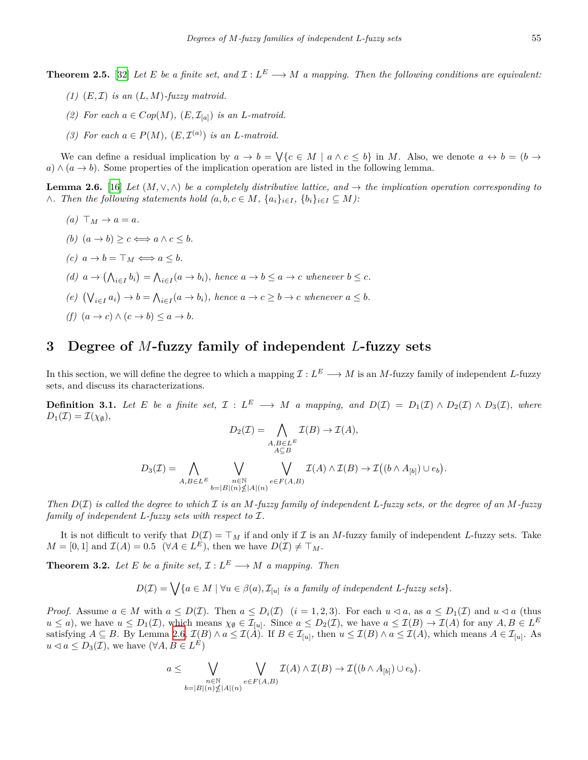- $(1)$   $(E, \mathcal{I})$  *is an*  $(L, M)$ *-fuzzy matroid.*
- *(2)* For each  $a \in Cop(M)$ ,  $(E, \mathcal{I}_{[a]})$  *is an L-matroid.*
- *(3)* For each  $a \in P(M)$ ,  $(E, \mathcal{I}^{(a)})$  *is an L-matroid.*

We can define a residual implication by  $a \to b = \bigvee \{c \in M \mid a \wedge c \leq b\}$  in M. Also, we denote  $a \leftrightarrow b = (b \to a)$  $a) \wedge (a \rightarrow b)$ . Some properties of the implication operation are listed in the following lemma.

<span id="page-2-0"></span>**Lemma 2.6.** [[16\]](#page-9-18) *Let*  $(M, \vee, \wedge)$  *be a completely distributive lattice, and*  $\rightarrow$  *the implication operation corresponding to*  $\wedge$ . Then the following statements hold  $(a, b, c \in M, \{a_i\}_{i \in I}, \{b_i\}_{i \in I} \subseteq M)$ :

*(a)*  $⊓<sup>M</sup> → a = a$ *. (b)*  $(a → b) \ge c \Longleftrightarrow a \land c \le b$ . *(c)*  $a \rightarrow b = \top_M \Longleftrightarrow a \leq b$ . (d)  $a \to (\bigwedge_{i \in I} b_i) = \bigwedge_{i \in I} (a \to b_i)$ , hence  $a \to b \leq a \to c$  whenever  $b \leq c$ . (e)  $(\bigvee_{i\in I} a_i) \to b = \bigwedge_{i\in I} (a \to b_i)$ , hence  $a \to c \ge b \to c$  whenever  $a \le b$ .  $(f)$   $(a \rightarrow c) \land (c \rightarrow b) \leq a \rightarrow b$ .

### **3 Degree of** *M***-fuzzy family of independent** *L***-fuzzy sets**

In this section, we will define the degree to which a mapping  $\mathcal{I}: L^E \longrightarrow M$  is an *M*-fuzzy family of independent *L*-fuzzy sets, and discuss its characterizations.

<span id="page-2-1"></span>**Definition 3.1.** Let E be a finite set,  $\mathcal{I}: L^E \longrightarrow M$  a mapping, and  $D(\mathcal{I}) = D_1(\mathcal{I}) \wedge D_2(\mathcal{I}) \wedge D_3(\mathcal{I})$ , where  $D_1(\mathcal{I}) = \mathcal{I}(\chi_{\emptyset}),$  $\rho$ <sup>2</sup> $\sigma$ <sup>2</sup>

$$
D_2(\mathcal{I}) = \bigwedge_{A,B \in L^E} \mathcal{I}(B) \to \mathcal{I}(A),
$$
  
\n
$$
D_3(\mathcal{I}) = \bigwedge_{A,B \in L^E} \bigvee_{\substack{n \in \mathbb{N} \\ b=|B|(n) \nleq |A|(n)}} \bigvee_{e \in F(A,B)} \mathcal{I}(A) \wedge \mathcal{I}(B) \to \mathcal{I}((b \wedge A_{[b]}) \cup e_b)
$$

*Then D*(*I*) *is called the degree to which I is an M-fuzzy family of independent L-fuzzy sets, or the degree of an M-fuzzy family of independent L-fuzzy sets with respect to I.*

) *.*

It is not difficult to verify that  $D(\mathcal{I}) = \mathcal{T}_M$  if and only if  $\mathcal{I}$  is an *M*-fuzzy family of independent *L*-fuzzy sets. Take  $M = [0, 1]$  and  $\mathcal{I}(A) = 0.5 \quad (\forall A \in L^E)$ , then we have  $D(\mathcal{I}) \neq \top_M$ .

<span id="page-2-2"></span>**Theorem 3.2.** *Let E be a finite set,*  $\mathcal{I}: L^E \longrightarrow M$  *a mapping. Then* 

 $D(\mathcal{I}) = \bigvee \{a \in M \mid \forall u \in \beta(a), \mathcal{I}_{[u]} \text{ is a family of independent } L \text{-}fuzzy sets\}.$ 

*Proof.* Assume  $a \in M$  with  $a \leq D(\mathcal{I})$ . Then  $a \leq D_i(\mathcal{I})$   $(i = 1, 2, 3)$ . For each  $u \lhd a$ , as  $a \leq D_1(\mathcal{I})$  and  $u \lhd a$  (thus  $u \leq a$ , we have  $u \leq D_1(\mathcal{I})$ , which means  $\chi_{\emptyset} \in \mathcal{I}_{[u]}$ . Since  $a \leq D_2(\mathcal{I})$ , we have  $a \leq \mathcal{I}(B) \to \mathcal{I}(A)$  for any  $A, B \in L^E$ satisfying  $A \subseteq B$ . By Lemma [2.6,](#page-2-0)  $\mathcal{I}(B) \wedge a \leq \mathcal{I}(A)$ . If  $B \in \mathcal{I}_{[u]}$ , then  $u \leq \mathcal{I}(B) \wedge a \leq \mathcal{I}(A)$ , which means  $A \in \mathcal{I}_{[u]}$ . As *u* ⊲ *a* ≤ *D*<sub>3</sub>(*I*), we have ( $\forall A, B \in L^E$ )

$$
a \leq \bigvee_{\substack{n \in \mathbb{N} \\ b=|B|(n) \nleq |A|(n)}} \bigvee_{e \in F(A,B)} \mathcal{I}(A) \wedge \mathcal{I}(B) \to \mathcal{I}((b \wedge A_{[b]}) \cup e_b).
$$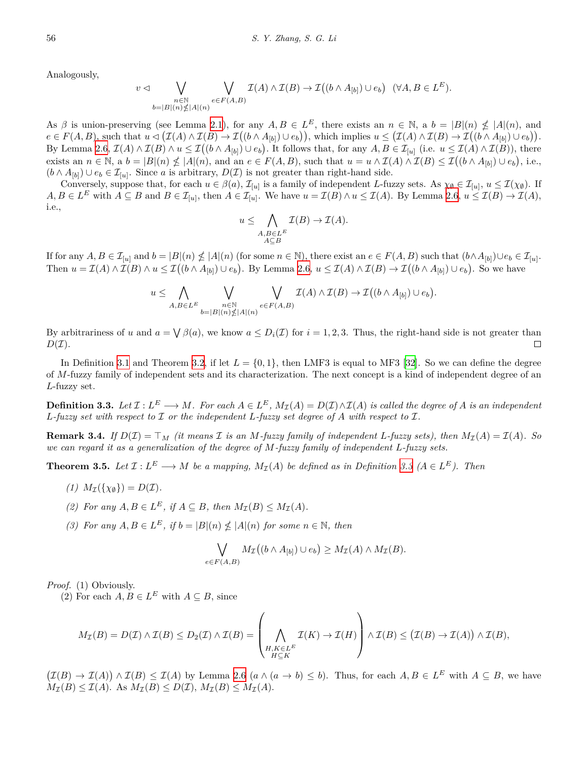Analogously,

 $\overline{v}$ 

$$
\vartriangleleft \bigvee_{\substack{n \in \mathbb{N} \\ b=|B|(n)\nleq |A|(n)}} \bigvee_{e \in F(A,B)} \mathcal{I}(A) \wedge \mathcal{I}(B) \to \mathcal{I}\big((b \wedge A_{[b]}) \cup e_b\big) \quad (\forall A, B \in L^E).
$$

As  $\beta$  is union-preserving (see Lemma [2.1\)](#page-1-0), for any  $A, B \in L^E$ , there exists an  $n \in \mathbb{N}$ , a  $b = |B|(n) \nleq |A|(n)$ , and  $e \in F(A, B)$ , such that  $u \lhd (\mathcal{I}(A) \wedge \mathcal{I}(B) \to \mathcal{I}((b \wedge A_{[b]}) \cup e_b)),$  which implies  $u \leq (\mathcal{I}(A) \wedge \mathcal{I}(B) \to \mathcal{I}((b \wedge A_{[b]}) \cup e_b)).$ By Lemma [2.6](#page-2-0),  $\mathcal{I}(A) \wedge \mathcal{I}(B) \wedge u \leq \mathcal{I}((b \wedge A_{[b]}) \cup e_b)$ . It follows that, for any  $A, B \in \mathcal{I}_{[u]}$  (i.e.  $u \leq \mathcal{I}(A) \wedge \mathcal{I}(B)$ ), there exists an  $n \in \mathbb{N}$ , a  $b = |B|(n) \nleq |A|(n)$ , and an  $e \in F(A, B)$ , such that  $u = u \wedge \mathcal{I}(A) \wedge \mathcal{I}(B) \leq \mathcal{I}((b \wedge A_{[b]}) \cup e_b)$ , i.e.,  $(b \wedge A_{[b]}) \cup e_b \in I_{[u]}$ . Since *a* is arbitrary,  $D(I)$  is not greater than right-hand side.

Conversely, suppose that, for each  $u \in \beta(a)$ ,  $\mathcal{I}_{[u]}$  is a family of independent *L*-fuzzy sets. As  $\chi_{\emptyset} \in \mathcal{I}_{[u]}, u \leq \mathcal{I}(\chi_{\emptyset})$ . If  $A, B \in L^E$  with  $A \subseteq B$  and  $B \in \mathcal{I}_{[u]}$ , then  $A \in \mathcal{I}_{[u]}$ . We have  $u = \mathcal{I}(B) \wedge u \leq \mathcal{I}(A)$ . By Lemma [2.6](#page-2-0),  $u \leq \mathcal{I}(B) \to \mathcal{I}(A)$ , i.e.,

$$
u \leq \bigwedge_{\substack{A,B \in L^{E} \\ A \subseteq B}} \mathcal{I}(B) \to \mathcal{I}(A).
$$

If for any  $A, B \in \mathcal{I}_{[u]}$  and  $b = |B|(n) \nleq |A|(n)$  (for some  $n \in \mathbb{N}$ ), there exist an  $e \in F(A, B)$  such that  $(b \wedge A_{[b]}) \cup e_b \in \mathcal{I}_{[u]}$ . Then  $u = \mathcal{I}(A) \wedge \mathcal{I}(B) \wedge u \leq \mathcal{I}((b \wedge A_{[b]}) \cup e_b)$ . By Lemma [2.6,](#page-2-0)  $u \leq \mathcal{I}(A) \wedge \mathcal{I}(B) \rightarrow \mathcal{I}((b \wedge A_{[b]}) \cup e_b)$ . So we have

$$
u \leq \bigwedge_{A,B \in L^E} \bigvee_{\substack{n \in \mathbb{N} \\ b=|B|(n) \nleq |A|(n)}} \bigvee_{e \in F(A,B)} \mathcal{I}(A) \wedge \mathcal{I}(B) \to \mathcal{I}((b \wedge A_{[b]}) \cup e_b).
$$

By arbitrariness of *u* and  $a = \bigvee \beta(a)$ , we know  $a \leq D_i(\mathcal{I})$  for  $i = 1, 2, 3$ . Thus, the right-hand side is not greater than  $D(\mathcal{I}).$  $\Box$ 

In Definition [3.1](#page-2-1) and Theorem [3.2,](#page-2-2) if let  $L = \{0, 1\}$ , then LMF3 is equal to MF3 [[32\]](#page-10-20). So we can define the degree of *M*-fuzzy family of independent sets and its characterization. The next concept is a kind of independent degree of an *L*-fuzzy set.

<span id="page-3-0"></span>**Definition 3.3.** Let  $\mathcal{I}: L^E \longrightarrow M$ . For each  $A \in L^E$ ,  $M_{\mathcal{I}}(A) = D(\mathcal{I}) \wedge \mathcal{I}(A)$  is called the degree of A is an independent *L-fuzzy set with respect to I or the independent L-fuzzy set degree of A with respect to I.*

**Remark 3.4.** If  $D(\mathcal{I}) = \mathcal{T}_M$  (it means  $\mathcal I$  is an M-fuzzy family of independent L-fuzzy sets), then  $M_{\mathcal{I}}(A) = \mathcal{I}(A)$ . So *we can regard it as a generalization of the degree of M-fuzzy family of independent L-fuzzy sets.*

**Theorem 3.5.** Let  $\mathcal{I}: L^E \longrightarrow M$  be a mapping,  $M_{\mathcal{I}}(A)$  be defined as in Definition [3.3](#page-3-0)  $(A \in L^E)$ . Then

- $(I) M_{\mathcal{I}}(\{\chi_{\emptyset}\}) = D(\mathcal{I}).$
- (2) *For any*  $A, B \in L^E$ *, if*  $A \subseteq B$ *, then*  $M_{\mathcal{I}}(B) \leq M_{\mathcal{I}}(A)$ *.*
- *(3) For any A*, *B* ∈ *L*<sup>*E*</sup>, *if b* =  $|B|(n)$   $\nleq$   $|A|(n)$  *for some*  $n ∈ \mathbb{N}$ *, then*

$$
\bigvee_{e \in F(A,B)} M_{\mathcal{I}}((b \wedge A_{[b]}) \cup e_b) \geq M_{\mathcal{I}}(A) \wedge M_{\mathcal{I}}(B).
$$

*Proof.* (1) Obviously.

(2) For each  $A, B \in L^E$  with  $A \subseteq B$ , since

$$
M_{\mathcal{I}}(B) = D(\mathcal{I}) \wedge \mathcal{I}(B) \le D_2(\mathcal{I}) \wedge \mathcal{I}(B) = \left(\bigwedge_{\substack{H,K \in L^E \\ H \subseteq K}} \mathcal{I}(K) \to \mathcal{I}(H)\right) \wedge \mathcal{I}(B) \le (\mathcal{I}(B) \to \mathcal{I}(A)) \wedge \mathcal{I}(B),
$$

 $(\mathcal{I}(B) \to \mathcal{I}(A)) \wedge \mathcal{I}(B) \leq \mathcal{I}(A)$  by Lemma [2.6](#page-2-0)  $(a \wedge (a \to b) \leq b)$ . Thus, for each  $A, B \in L^E$  with  $A \subseteq B$ , we have  $M_{\mathcal{I}}(B) \leq \mathcal{I}(A)$ . As  $M_{\mathcal{I}}(B) \leq D(\mathcal{I}), M_{\mathcal{I}}(B) \leq M_{\mathcal{I}}(A)$ .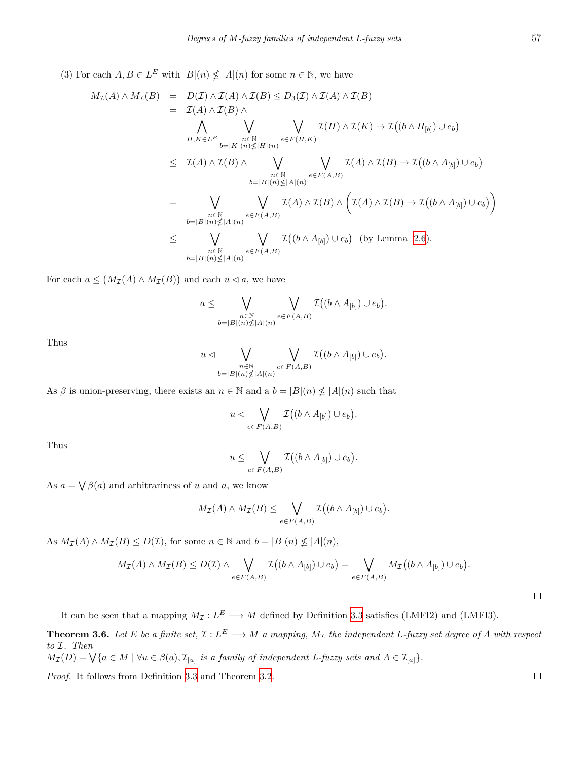(3) For each  $A, B \in L^E$  with  $|B|(n) \nleq |A|(n)$  for some  $n \in \mathbb{N}$ , we have

$$
M_{\mathcal{I}}(A) \wedge M_{\mathcal{I}}(B) = D(\mathcal{I}) \wedge \mathcal{I}(A) \wedge \mathcal{I}(B) \leq D_{3}(\mathcal{I}) \wedge \mathcal{I}(A) \wedge \mathcal{I}(B)
$$
  
\n
$$
= \mathcal{I}(A) \wedge \mathcal{I}(B) \wedge \bigvee_{\substack{n \in \mathbb{N} \\ b=|K|(n) \nleq |H|(n)}} \bigvee_{e \in F(H,K)} \mathcal{I}(H) \wedge \mathcal{I}(K) \rightarrow \mathcal{I}((b \wedge H_{[b]}) \cup e_{b})
$$
  
\n
$$
\leq \mathcal{I}(A) \wedge \mathcal{I}(B) \wedge \bigvee_{\substack{n \in \mathbb{N} \\ b=|B|(n) \nleq |A|(n)}} \bigvee_{e \in F(A,B)} \mathcal{I}(A) \wedge \mathcal{I}(B) \rightarrow \mathcal{I}((b \wedge A_{[b]}) \cup e_{b})
$$
  
\n
$$
= \bigvee_{\substack{n \in \mathbb{N} \\ b=|B|(n) \nleq |A|(n)}} \bigvee_{e \in F(A,B)} \mathcal{I}(A) \wedge \mathcal{I}(B) \wedge \bigg( \mathcal{I}(A) \wedge \mathcal{I}(B) \rightarrow \mathcal{I}((b \wedge A_{[b]}) \cup e_{b}) \bigg)
$$
  
\n
$$
\leq \bigvee_{\substack{n \in \mathbb{N} \\ b=|B|(n) \nleq |A|(n)}} \bigvee_{e \in F(A,B)} \mathcal{I}((b \wedge A_{[b]}) \cup e_{b}) \quad \text{(by Lemma 2.6)}.
$$

For each  $a \leq (M_{\mathcal{I}}(A) \wedge M_{\mathcal{I}}(B))$  and each  $u \lhd a$ , we have

$$
a \leq \bigvee_{\substack{n \in \mathbb{N} \\ b=|B|(n) \nleq |A|(n)}} \bigvee_{e \in F(A,B)} \mathcal{I}((b \wedge A_{[b]}) \cup e_b).
$$

Thus

$$
u \lhd \bigvee_{\substack{n \in \mathbb{N} \\ b=|B|(n) \nleq |A|(n)}} \bigvee_{e \in F(A,B)} \mathcal{I}((b \land A_{[b]}) \cup e_b).
$$

As  $\beta$  is union-preserving, there exists an  $n \in \mathbb{N}$  and a  $b = |B|(n) \nleq |A|(n)$  such that

$$
u \lhd \bigvee_{e \in F(A,B)} \mathcal{I}((b \wedge A_{[b]}) \cup e_b).
$$

Thus

$$
u \leq \bigvee_{e \in F(A,B)} \mathcal{I}((b \wedge A_{[b]}) \cup e_b).
$$

As  $a = \bigvee \beta(a)$  and arbitrariness of *u* and *a*, we know

$$
M_{\mathcal{I}}(A) \wedge M_{\mathcal{I}}(B) \leq \bigvee_{e \in F(A,B)} \mathcal{I}((b \wedge A_{[b]}) \cup e_b).
$$

As  $M_{\mathcal{I}}(A) \wedge M_{\mathcal{I}}(B) \leq D(\mathcal{I})$ , for some  $n \in \mathbb{N}$  and  $b = |B|(n) \nleq |A|(n)$ ,

$$
M_{\mathcal{I}}(A) \wedge M_{\mathcal{I}}(B) \leq D(\mathcal{I}) \wedge \bigvee_{e \in F(A,B)} \mathcal{I}((b \wedge A_{[b]}) \cup e_b) = \bigvee_{e \in F(A,B)} M_{\mathcal{I}}((b \wedge A_{[b]}) \cup e_b).
$$

It can be seen that a mapping  $M_{\mathcal{I}}: L^E \longrightarrow M$  defined by Definition [3.3](#page-3-0) satisfies (LMFI2) and (LMFI3). **Theorem 3.6.** Let E be a finite set,  $\mathcal{I}: L^E \longrightarrow M$  a mapping,  $M_{\mathcal{I}}$  the independent L-fuzzy set degree of A with respect *to I. Then*

$$
M_{\mathcal{I}}(D) = \bigvee \{a \in M \mid \forall u \in \beta(a), \mathcal{I}_{[u]} \text{ is a family of independent } L \text{-}fuzzy sets and } A \in \mathcal{I}_{[a]}\}.
$$

*Proof.* It follows from Definition [3.3](#page-3-0) and Theorem [3.2](#page-2-2).

 $\Box$ 

 $\Box$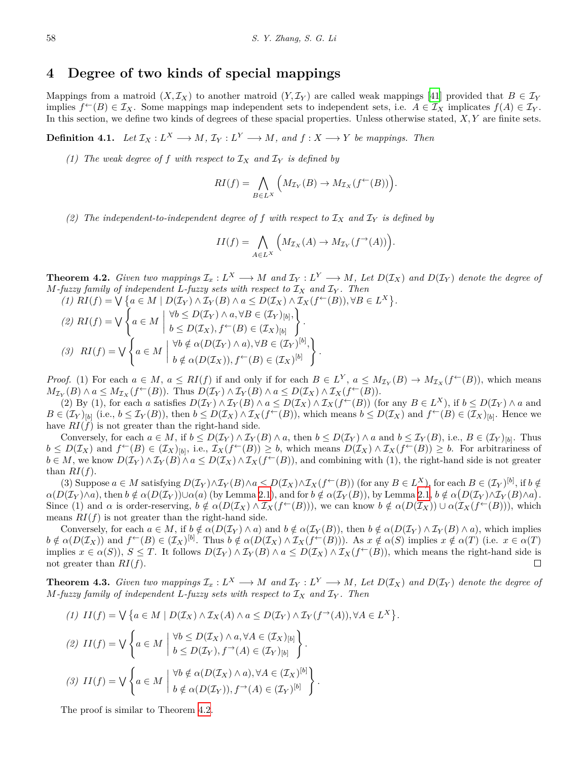#### **4 Degree of two kinds of special mappings**

Mappings from a matroid  $(X, \mathcal{I}_X)$  to another matroid  $(Y, \mathcal{I}_Y)$  are called weak mappings [[41\]](#page-10-3) provided that  $B \in \mathcal{I}_Y$ implies  $f^{\leftarrow}(B) \in \mathcal{I}_X$ . Some mappings map independent sets to independent sets, i.e.  $A \in \mathcal{I}_X$  implicates  $f(A) \in \mathcal{I}_Y$ . In this section, we define two kinds of degrees of these spacial properties. Unless otherwise stated, *X, Y* are finite sets.

**Definition 4.1.** Let  $\mathcal{I}_X : L^X \longrightarrow M$ ,  $\mathcal{I}_Y : L^Y \longrightarrow M$ , and  $f : X \longrightarrow Y$  be mappings. Then

*(1) The weak degree of f with respect to*  $I_X$  *and*  $I_Y$  *is defined by* 

$$
RI(f) = \bigwedge_{B \in L^X} \left( M_{\mathcal{I}_Y}(B) \to M_{\mathcal{I}_X}(f^{\leftarrow}(B)) \right).
$$

*(2) The independent-to-independent degree of f with respect to I<sup>X</sup> and I<sup>Y</sup> is defined by*

$$
II(f) = \bigwedge_{A \in L^X} \left( M_{\mathcal{I}_X}(A) \to M_{\mathcal{I}_Y}(f^{\to}(A)) \right).
$$

<span id="page-5-0"></span>**Theorem 4.2.** Given two mappings  $\mathcal{I}_x: L^X \longrightarrow M$  and  $\mathcal{I}_Y: L^Y \longrightarrow M$ , Let  $D(\mathcal{I}_X)$  and  $D(\mathcal{I}_Y)$  denote the degree of *M*<sup>-fuzzy family of independent *L*-fuzzy sets with respect to  $\mathcal{I}_X$  and  $\mathcal{I}_Y$ . Then</sup>

(1)  $RI(f) = \bigvee \{a \in M \mid D(\mathcal{I}_Y) \wedge \mathcal{I}_Y(B) \wedge a \leq D(\mathcal{I}_X) \wedge \mathcal{I}_X(f^{\leftarrow}(B)), \forall B \in L^X \}.$ *(2)*  $RI(f) = √$  $\sqrt{2}$  $a \in M$  $\forall b \leq D(\mathcal{I}_Y) \land a, \forall B \in (\mathcal{I}_Y)_{[b]},$  $b \leq D(\mathcal{I}_X), f^{\leftarrow}(B) \in (\mathcal{I}_X)_{[b]}$ } *. (3)*  $RI(f) = √$  $\sqrt{2}$  $a \in M$  $\forall b \notin \alpha(D(\mathcal{I}_Y) \wedge a), \forall B \in (\mathcal{I}_Y)^{[b]},$  $b \notin \alpha(D(\mathcal{I}_X)), f^{\leftarrow}(B) \in (\mathcal{I}_X)^{[b]}$ } *.*

*Proof.* (1) For each  $a \in M$ ,  $a \le RI(f)$  if and only if for each  $B \in L^Y$ ,  $a \le M_{\mathcal{I}_Y}(B) \to M_{\mathcal{I}_X}(f^{\leftarrow}(B))$ , which means  $M_{\mathcal{I}_Y}(B) \wedge a \leq M_{\mathcal{I}_X}(f^{\leftarrow}(B)).$  Thus  $D(\mathcal{I}_Y) \wedge \mathcal{I}_Y(B) \wedge a \leq D(\mathcal{I}_X) \wedge \mathcal{I}_X(f^{\leftarrow}(B)).$ 

(2) By (1), for each a satisfies  $D(\mathcal{I}_Y) \wedge \mathcal{I}_Y(B) \wedge a \leq D(\mathcal{I}_X) \wedge \mathcal{I}_X(f^{\leftarrow}(B))$  (for any  $B \in L^X$ ), if  $b \leq D(\mathcal{I}_Y) \wedge a$  and  $B \in (\mathcal{I}_Y)_{[b]}$  (i.e.,  $b \leq \mathcal{I}_Y(B)$ ), then  $b \leq D(\mathcal{I}_X) \wedge \mathcal{I}_X(f^{\leftarrow}(B))$ , which means  $b \leq D(\mathcal{I}_X)$  and  $f^{\leftarrow}(B) \in (\mathcal{I}_X)_{[b]}$ . Hence we have  $RI(f)$  is not greater than the right-hand side.

Conversely, for each  $a \in M$ , if  $b \le D(\mathcal{I}_Y) \wedge \mathcal{I}_Y(B) \wedge a$ , then  $b \le D(\mathcal{I}_Y) \wedge a$  and  $b \le \mathcal{I}_Y(B)$ , i.e.,  $B \in (\mathcal{I}_Y)_{[b]}$ . Thus  $b \leq D(\mathcal{I}_X)$  and  $f^{\leftarrow}(B) \in (\mathcal{I}_X)_{[b]},$  i.e.,  $\mathcal{I}_X(f^{\leftarrow}(B)) \geq b$ , which means  $D(\mathcal{I}_X) \wedge \mathcal{I}_X(f^{\leftarrow}(B)) \geq b$ . For arbitrariness of  $b \in M$ , we know  $D(\mathcal{I}_Y) \wedge \mathcal{I}_Y(B) \wedge a \leq D(\mathcal{I}_X) \wedge \mathcal{I}_X(f^{\leftarrow}(B))$ , and combining with (1), the right-hand side is not greater than  $RI(f)$ .

(3) Suppose  $a \in M$  satisfying  $D(\mathcal{I}_Y) \wedge \mathcal{I}_Y(B) \wedge a \leq D(\mathcal{I}_X) \wedge \mathcal{I}_X(f^{\leftarrow}(B))$  (for any  $B \in L^X$ ), for each  $B \in (\mathcal{I}_Y)^{[b]}$ , if  $b \notin$  $\alpha(D(\mathcal{I}_Y)\wedge a)$ , then  $b \notin \alpha(D(\mathcal{I}_Y))\cup\alpha(a)$  (by Lemma [2.1](#page-1-0)), and for  $b \notin \alpha(\mathcal{I}_Y(B))$ , by Lemma [2.1,](#page-1-0)  $b \notin \alpha(D(\mathcal{I}_Y)\wedge \mathcal{I}_Y(B)\wedge a)$ . Since (1) and  $\alpha$  is order-reserving,  $b \notin \alpha(D(\mathcal{I}_X) \wedge \mathcal{I}_X(f^{\leftarrow}(B)))$ , we can know  $b \notin \alpha(D(\mathcal{I}_X)) \cup \alpha(\mathcal{I}_X(f^{\leftarrow}(B)))$ , which means  $RI(f)$  is not greater than the right-hand side.

Conversely, for each  $a \in M$ , if  $b \notin \alpha(D(\mathcal{I}_Y) \wedge a)$  and  $b \notin \alpha(\mathcal{I}_Y(B))$ , then  $b \notin \alpha(D(\mathcal{I}_Y) \wedge \mathcal{I}_Y(B) \wedge a)$ , which implies  $b \notin \alpha(D(\mathcal{I}_X))$  and  $f^{\leftarrow}(B) \in (\mathcal{I}_X)^{[b]}$ . Thus  $b \notin \alpha(D(\mathcal{I}_X) \wedge \mathcal{I}_X(f^{\leftarrow}(B)))$ . As  $x \notin \alpha(S)$  implies  $x \notin \alpha(T)$  (i.e.  $x \in \alpha(T)$ ) implies  $x \in \alpha(S)$ ,  $S \leq T$ . It follows  $D(\mathcal{I}_Y) \wedge \mathcal{I}_Y(B) \wedge a \leq D(\mathcal{I}_X) \wedge \mathcal{I}_X(f^{\leftarrow}(B))$ , which means the right-hand side is not greater than *RI*(*f*).  $\Box$ 

**Theorem 4.3.** Given two mappings  $\mathcal{I}_x: L^X \longrightarrow M$  and  $\mathcal{I}_Y: L^Y \longrightarrow M$ , Let  $D(\mathcal{I}_X)$  and  $D(\mathcal{I}_Y)$  denote the degree of *M*<sup>-fuzzy family of independent *L*-fuzzy sets with respect to  $\mathcal{I}_X$  and  $\mathcal{I}_Y$ . Then</sup>

$$
(1) \ II(f) = \bigvee \{a \in M \mid D(\mathcal{I}_X) \land \mathcal{I}_X(A) \land a \le D(\mathcal{I}_Y) \land \mathcal{I}_Y(f^{\rightarrow}(A)), \forall A \in L^X\}.
$$
  

$$
(2) \ II(f) = \bigvee \{a \in M \mid \forall b \le D(\mathcal{I}_X) \land a, \forall A \in (\mathcal{I}_X)_{[b]}\}.
$$
  

$$
(3) \ II(f) = \bigvee \{a \in M \mid \forall b \notin \alpha(D(\mathcal{I}_X) \land a), \forall A \in (\mathcal{I}_X)^{[b]}\}.
$$
  

$$
(4) \ \bigvee \{a \in M \mid \forall b \notin \alpha(D(\mathcal{I}_X) \land a), \forall A \in (\mathcal{I}_X)^{[b]}\}.
$$

The proof is similar to Theorem [4.2](#page-5-0).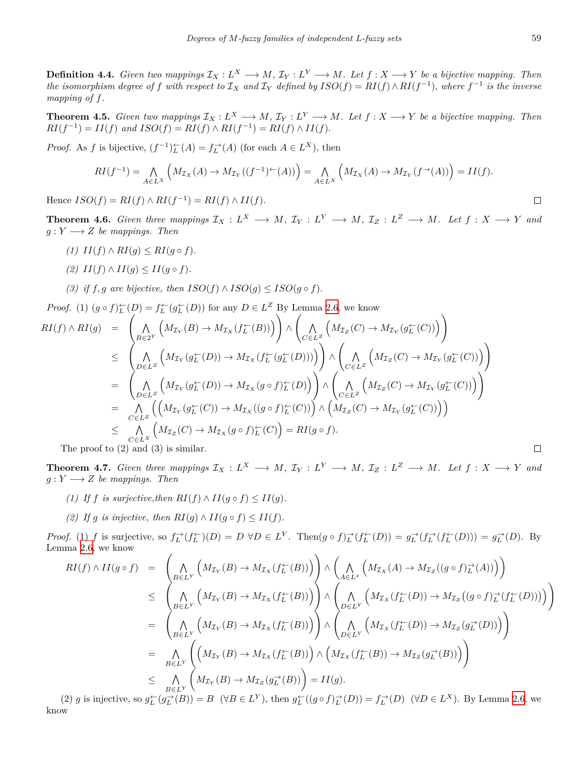**Definition 4.4.** Given two mappings  $\mathcal{I}_X : L^X \longrightarrow M$ ,  $\mathcal{I}_Y : L^Y \longrightarrow M$ . Let  $f : X \longrightarrow Y$  be a bijective mapping. Then the isomorphism degree of f with respect to  $\mathcal{I}_X$  and  $\mathcal{I}_Y$  defined by  $ISO(f) = RI(f) \wedge RI(f^{-1})$ , where  $f^{-1}$  is the inverse *mapping of f.*

**Theorem 4.5.** Given two mappings  $\mathcal{I}_X : L^X \longrightarrow M$ ,  $\mathcal{I}_Y : L^Y \longrightarrow M$ . Let  $f : X \longrightarrow Y$  be a bijective mapping. Then  $RI(f^{-1}) = II(f)$  and  $ISO(f) = RI(f) \wedge RI(f^{-1}) = RI(f) \wedge II(f)$ .

*Proof.* As *f* is bijective,  $(f^{-1})_L^{\leftarrow}(A) = f_L^{\rightarrow}(A)$  (for each  $A \in L^X$ ), then

$$
RI(f^{-1}) = \bigwedge_{A \in L^X} \left( M_{\mathcal{I}_X}(A) \to M_{\mathcal{I}_Y}((f^{-1})^{\leftarrow}(A)) \right) = \bigwedge_{A \in L^X} \left( M_{\mathcal{I}_X}(A) \to M_{\mathcal{I}_Y}(f^{\rightarrow}(A)) \right) = II(f).
$$

Hence  $ISO(f) = RI(f) \wedge RI(f^{-1}) = RI(f) \wedge II(f)$ .

**Theorem 4.6.** Given three mappings  $\mathcal{I}_X : L^X \longrightarrow M$ ,  $\mathcal{I}_Y : L^Y \longrightarrow M$ ,  $\mathcal{I}_Z : L^Z \longrightarrow M$ . Let  $f : X \longrightarrow Y$  and  $g: Y \longrightarrow Z$  *be mappings. Then* 

- *(1) II*(*f*) ∧ *RI*(*q*)  $\lt$  *RI*(*q*  $\circ$  *f*).
- $(2)$   $II(f) \wedge II(g) \leq II(g \circ f).$
- *(3) if*  $f, g$  are bijective, then  $ISO(f) \wedge ISO(g) \leq ISO(g \circ f)$ .

*Proof.* (1)  $(g \circ f)_L^{\leftarrow}(D) = f_L^{\leftarrow}(g_L^{\leftarrow}(D))$  for any  $D \in L^Z$  By Lemma [2.6](#page-2-0), we know

$$
RI(f) \wedge RI(g) = \left( \bigwedge_{B \in 2^Y} \left( M_{\mathcal{I}_Y}(B) \to M_{\mathcal{I}_X}(f_L^{\leftarrow}(B)) \right) \right) \wedge \left( \bigwedge_{C \in L^Z} \left( M_{\mathcal{I}_Z}(C) \to M_{\mathcal{I}_Y}(g_L^{\leftarrow}(C)) \right) \right) \n\leq \left( \bigwedge_{D \in L^Z} \left( M_{\mathcal{I}_Y}(g_L^{\leftarrow}(D)) \to M_{\mathcal{I}_X}(f_L^{\leftarrow}(g_L^{\leftarrow}(D))) \right) \right) \wedge \left( \bigwedge_{C \in L^Z} \left( M_{\mathcal{I}_Z}(C) \to M_{\mathcal{I}_Y}(g_L^{\leftarrow}(C)) \right) \right) \right) \n= \left( \bigwedge_{D \in L^Z} \left( M_{\mathcal{I}_Y}(g_L^{\leftarrow}(D)) \to M_{\mathcal{I}_X}(g \circ f)_L^{\leftarrow}(D) \right) \right) \wedge \left( \bigwedge_{C \in L^Z} \left( M_{\mathcal{I}_Z}(C) \to M_{\mathcal{I}_Y}(g_L^{\leftarrow}(C)) \right) \right) \right) \n= \bigwedge_{C \in L^Z} \left( \left( M_{\mathcal{I}_Y}(g_L^{\leftarrow}(C)) \to M_{\mathcal{I}_X}((g \circ f)_L^{\leftarrow}(C)) \right) \wedge \left( M_{\mathcal{I}_Z}(C) \to M_{\mathcal{I}_Y}(g_L^{\leftarrow}(C)) \right) \right) \right) \n\leq \bigwedge_{C \in L^X} \left( M_{\mathcal{I}_Z}(C) \to M_{\mathcal{I}_X}(g \circ f)_L^{\leftarrow}(C) \right) = RI(g \circ f).
$$
\nThe proof to (2) and (3) is similar.

The proof to (2) and (3) is similar.

**Theorem 4.7.** Given three mappings  $\mathcal{I}_X : L^X \longrightarrow M$ ,  $\mathcal{I}_Y : L^Y \longrightarrow M$ ,  $\mathcal{I}_Z : L^Z \longrightarrow M$ . Let  $f : X \longrightarrow Y$  and  $g: Y \longrightarrow Z$  *be mappings. Then* 

- *(1) If f is surjective,then*  $RI(f) \wedge II(g \circ f) \leq II(g)$ .
- *(2) If g is injective, then*  $RI(q) \wedge II(q \circ f) \leq II(f)$ *.*

*Proof.* (1) f is surjective, so  $f_L^{\to}(f_L^{\leftarrow})(D) = D \forall D \in L^Y$ . Then  $(g \circ f)_L^{\to}(f_L^{\leftarrow}(D)) = g_L^{\to}(f_L^{\to}(f_L^{\leftarrow}(D))) = g_L^{\to}(D)$ . By Lemma [2.6](#page-2-0), we know

$$
RI(f) \wedge II(g \circ f) = \left( \bigwedge_{B \in L^Y} \left( M_{\mathcal{I}_Y}(B) \to M_{\mathcal{I}_X}(f_L^{\leftarrow}(B)) \right) \right) \wedge \left( \bigwedge_{A \in L^x} \left( M_{\mathcal{I}_X}(A) \to M_{\mathcal{I}_Z}((g \circ f)_{L}^{\rightarrow}(A)) \right) \right)
$$
  
\n
$$
\leq \left( \bigwedge_{B \in L^Y} \left( M_{\mathcal{I}_Y}(B) \to M_{\mathcal{I}_X}(f_L^{\leftarrow}(B)) \right) \right) \wedge \left( \bigwedge_{D \in L^Y} \left( M_{\mathcal{I}_X}(f_L^{\leftarrow}(D)) \to M_{\mathcal{I}_Z}((g \circ f)_{L}^{\rightarrow}(f_L^{\leftarrow}(D))) \right) \right) \right)
$$
  
\n
$$
= \left( \bigwedge_{B \in L^Y} \left( M_{\mathcal{I}_Y}(B) \to M_{\mathcal{I}_X}(f_L^{\leftarrow}(B)) \right) \right) \wedge \left( \bigwedge_{D \in L^Y} \left( M_{\mathcal{I}_X}(f_L^{\leftarrow}(D)) \to M_{\mathcal{I}_Z}(g_L^{\rightarrow}(D)) \right) \right)
$$
  
\n
$$
= \bigwedge_{B \in L^Y} \left( \left( M_{\mathcal{I}_Y}(B) \to M_{\mathcal{I}_X}(f_L^{\leftarrow}(B)) \right) \wedge \left( M_{\mathcal{I}_X}(f_L^{\leftarrow}(B)) \to M_{\mathcal{I}_Z}(g_L^{\rightarrow}(B)) \right) \right) \right)
$$
  
\n
$$
\leq \bigwedge_{B \in L^Y} \left( M_{\mathcal{I}_Y}(B) \to M_{\mathcal{I}_Z}(g_L^{\rightarrow}(B)) \right) = II(g).
$$

(2) g is injective, so  $g_L^{\leftarrow}(g_L^{\rightarrow}(B)) = B$  ( $\forall B \in L^Y$ ), then  $g_L^{\leftarrow}((g \circ f)_L^{\rightarrow}(D)) = f_L^{\rightarrow}(D)$  ( $\forall D \in L^X$ ). By Lemma [2.6,](#page-2-0) we know

 $\Box$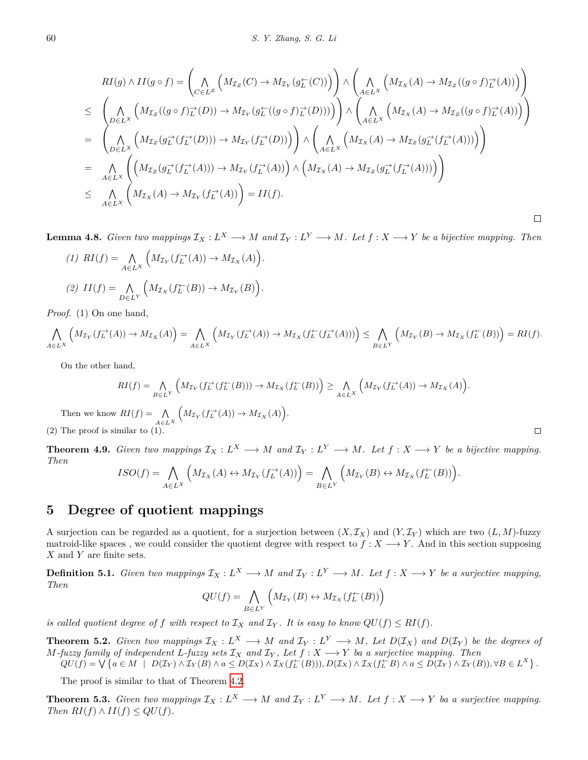$$
RI(g) \wedge II(g \circ f) = \left( \bigwedge_{C \in L^Z} \left( M_{\mathcal{I}_Z}(C) \to M_{\mathcal{I}_Y}(g_C^{\leftarrow}(C)) \right) \right) \wedge \left( \bigwedge_{A \in L^X} \left( M_{\mathcal{I}_X}(A) \to M_{\mathcal{I}_Z}((g \circ f)_{L}^{\rightarrow}(A)) \right) \right)
$$
  
\n
$$
\leq \left( \bigwedge_{D \in L^X} \left( M_{\mathcal{I}_Z}((g \circ f)_{L}^{\rightarrow}(D)) \to M_{\mathcal{I}_Y}(g_L^{\leftarrow}((g \circ f)_{L}^{\rightarrow}(D))) \right) \right) \wedge \left( \bigwedge_{A \in L^X} \left( M_{\mathcal{I}_X}(A) \to M_{\mathcal{I}_Z}((g \circ f)_{L}^{\rightarrow}(A)) \right) \right)
$$
  
\n
$$
= \left( \bigwedge_{D \in L^X} \left( M_{\mathcal{I}_Z}(g_L^{\rightarrow}(f_L^{\rightarrow}(D))) \to M_{\mathcal{I}_Y}(f_L^{\rightarrow}(D)) \right) \right) \wedge \left( \bigwedge_{A \in L^X} \left( M_{\mathcal{I}_X}(A) \to M_{\mathcal{I}_Z}(g_L^{\rightarrow}(f_L^{\rightarrow}(A))) \right) \right)
$$
  
\n
$$
= \bigwedge_{A \in L^X} \left( \left( M_{\mathcal{I}_Z}(g_L^{\rightarrow}(f_L^{\rightarrow}(A))) \to M_{\mathcal{I}_Y}(f_L^{\rightarrow}(A)) \right) \wedge \left( M_{\mathcal{I}_X}(A) \to M_{\mathcal{I}_Z}(g_L^{\rightarrow}(f_L^{\rightarrow}(A))) \right) \right)
$$
  
\n
$$
\leq \bigwedge_{A \in L^X} \left( M_{\mathcal{I}_X}(A) \to M_{\mathcal{I}_Y}(f_L^{\rightarrow}(A)) \right) = II(f).
$$

**Lemma 4.8.** Given two mappings  $\mathcal{I}_X : L^X \longrightarrow M$  and  $\mathcal{I}_Y : L^Y \longrightarrow M$ . Let  $f : X \longrightarrow Y$  be a bijective mapping. Then

(1) 
$$
RI(f) = \bigwedge_{A \in L^X} \left( M_{\mathcal{I}_Y}(f_L^{\rightarrow}(A)) \rightarrow M_{\mathcal{I}_X}(A) \right).
$$
  
(2) 
$$
II(f) = \bigwedge_{D \in L^Y} \left( M_{\mathcal{I}_X}(f_L^{\leftarrow}(B)) \rightarrow M_{\mathcal{I}_Y}(B) \right).
$$

*Proof.* (1) On one hand,

$$
\bigwedge_{A\in L^X} \left( M_{\mathcal{I}_Y}(f_L^{\rightarrow}(A)) \rightarrow M_{\mathcal{I}_X}(A) \right) = \bigwedge_{A\in L^X} \left( M_{\mathcal{I}_Y}(f_L^{\rightarrow}(A)) \rightarrow M_{\mathcal{I}_X}(f_L^{\leftarrow}(f_L^{\rightarrow}(A))) \right) \le \bigwedge_{B\in L^Y} \left( M_{\mathcal{I}_Y}(B) \rightarrow M_{\mathcal{I}_X}(f_L^{\leftarrow}(B)) \right) = RI(f).
$$

On the other hand,

$$
RI(f) = \bigwedge_{B \in L^Y} \left( M_{\mathcal{I}_Y}(f_L^{\rightarrow}(f_L^{\rightarrow}(B))) \to M_{\mathcal{I}_X}(f_L^{\leftarrow}(B)) \right) \ge \bigwedge_{A \in L^X} \left( M_{\mathcal{I}_Y}(f_L^{\rightarrow}(A)) \to M_{\mathcal{I}_X}(A) \right).
$$
  
Then we know  $RI(f) = \bigwedge_{A \in L^X} \left( M_{\mathcal{I}_Y}(f_L^{\rightarrow}(A)) \to M_{\mathcal{I}_X}(A) \right).$ 

 $\Box$ 

(2) The proof is similar to (1).

**Theorem 4.9.** Given two mappings  $\mathcal{I}_X : L^X \longrightarrow M$  and  $\mathcal{I}_Y : L^Y \longrightarrow M$ . Let  $f : X \longrightarrow Y$  be a bijective mapping. *Then*

$$
ISO(f) = \bigwedge_{A \in L^X} \left( M_{\mathcal{I}_X}(A) \leftrightarrow M_{\mathcal{I}_Y}(f_L^{\rightarrow}(A)) \right) = \bigwedge_{B \in L^Y} \left( M_{\mathcal{I}_Y}(B) \leftrightarrow M_{\mathcal{I}_X}(f_L^{\leftarrow}(B)) \right).
$$

#### **5 Degree of quotient mappings**

A surjection can be regarded as a quotient, for a surjection between  $(X, \mathcal{I}_X)$  and  $(Y, \mathcal{I}_Y)$  which are two  $(L, M)$ -fuzzy matroid-like spaces, we could consider the quotient degree with respect to  $f: X \longrightarrow Y$ . And in this section supposing *X* and *Y* are finite sets.

**Definition 5.1.** Given two mappings  $\mathcal{I}_X : L^X \longrightarrow M$  and  $\mathcal{I}_Y : L^Y \longrightarrow M$ . Let  $f : X \longrightarrow Y$  be a surjective mapping, *Then*

$$
QU(f) = \bigwedge_{B \in L^Y} \left( M_{\mathcal{I}_Y}(B) \leftrightarrow M_{\mathcal{I}_X}(f_L^{\leftarrow}(B)) \right)
$$

*is called quotient degree of*  $f$  *with respect to*  $I_X$  *and*  $I_Y$ *. It is easy to know*  $QU(f) \leq RI(f)$ *.* 

**Theorem 5.2.** Given two mappings  $\mathcal{I}_X : L^X \longrightarrow M$  and  $\mathcal{I}_Y : L^Y \longrightarrow M$ , Let  $D(\mathcal{I}_X)$  and  $D(\mathcal{I}_Y)$  be the degrees of *M*<sup>*-fuzzy* family of independent *L*<sup>*-fuzzy* sets  $I_X$  and  $I_Y$ , Let  $f : X \rightarrow Y$  ba a surjective mapping. Then</sup></sup>

 $QU(f) = \bigvee \{a \in M \mid D(\mathcal{I}_Y) \wedge \mathcal{I}_Y(B) \wedge a \leq D(\mathcal{I}_X) \wedge \mathcal{I}_X(f_L^{\leftarrow}(B))), D(\mathcal{I}_X) \wedge \mathcal{I}_X(f_L^{\leftarrow}B) \wedge a \leq D(\mathcal{I}_Y) \wedge \mathcal{I}_Y(B)), \forall B \in L^X\}.$ 

The proof is similar to that of Theorem [4.2](#page-5-0).

**Theorem 5.3.** Given two mappings  $\mathcal{I}_X : L^X \longrightarrow M$  and  $\mathcal{I}_Y : L^Y \longrightarrow M$ . Let  $f : X \longrightarrow Y$  ba a surjective mapping.  $Then \ RI(f) \wedge II(f) \leq QU(f).$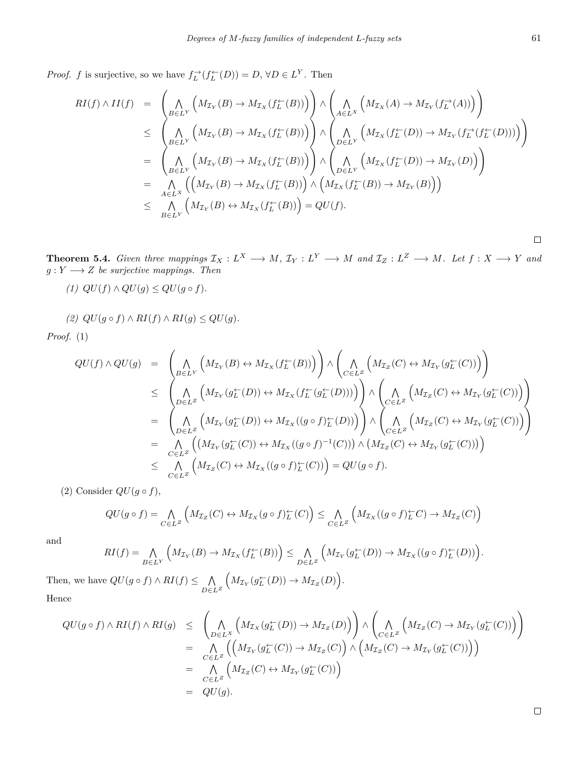*Proof. f* is surjective, so we have  $f_L^{\to}(f_L^{\leftarrow}(D)) = D$ ,  $\forall D \in L^Y$ . Then

$$
RI(f) \wedge II(f) = \left( \bigwedge_{B \in L^Y} \left( M_{\mathcal{I}_Y}(B) \to M_{\mathcal{I}_X}(f_L^{\leftarrow}(B)) \right) \right) \wedge \left( \bigwedge_{A \in L^X} \left( M_{\mathcal{I}_X}(A) \to M_{\mathcal{I}_Y}(f_L^{\rightarrow}(A)) \right) \right) \n\leq \left( \bigwedge_{B \in L^Y} \left( M_{\mathcal{I}_Y}(B) \to M_{\mathcal{I}_X}(f_L^{\leftarrow}(B)) \right) \right) \wedge \left( \bigwedge_{D \in L^Y} \left( M_{\mathcal{I}_X}(f_L^{\leftarrow}(D)) \to M_{\mathcal{I}_Y}(f_L^{\rightarrow}(f_L^{\leftarrow}(D))) \right) \right) \right) \n= \left( \bigwedge_{B \in L^Y} \left( M_{\mathcal{I}_Y}(B) \to M_{\mathcal{I}_X}(f_L^{\leftarrow}(B)) \right) \right) \wedge \left( \bigwedge_{D \in L^Y} \left( M_{\mathcal{I}_X}(f_L^{\leftarrow}(D)) \to M_{\mathcal{I}_Y}(D) \right) \right) \n= \bigwedge_{A \in L^X} \left( \left( M_{\mathcal{I}_Y}(B) \to M_{\mathcal{I}_X}(f_L^{\leftarrow}(B)) \right) \wedge \left( M_{\mathcal{I}_X}(f_L^{\leftarrow}(B)) \to M_{\mathcal{I}_Y}(B) \right) \right) \n\leq \bigwedge_{B \in L^Y} \left( M_{\mathcal{I}_Y}(B) \leftrightarrow M_{\mathcal{I}_X}(f_L^{\leftarrow}(B)) \right) = QU(f).
$$

**Theorem 5.4.** Given three mappings  $\mathcal{I}_X : L^X \longrightarrow M$ ,  $\mathcal{I}_Y : L^Y \longrightarrow M$  and  $\mathcal{I}_Z : L^Z \longrightarrow M$ . Let  $f : X \longrightarrow Y$  and  $g: Y \longrightarrow Z$  *be surjective mappings. Then* 

 $(1)$   $QU(f) \wedge QU(g) \leq QU(g \circ f).$ 

 $(2)$   $QU(g \circ f) \land RI(f) \land RI(g) \leq QU(g).$ 

*Proof.* (1)

$$
QU(f) \wedge QU(g) = \left( \bigwedge_{B \in L^Y} \left( M_{\mathcal{I}_Y}(B) \leftrightarrow M_{\mathcal{I}_X}(f_L^{\leftarrow}(B)) \right) \right) \wedge \left( \bigwedge_{C \in L^Z} \left( M_{\mathcal{I}_Z}(C) \leftrightarrow M_{\mathcal{I}_Y}(g_L^{\leftarrow}(C)) \right) \right) \n\leq \left( \bigwedge_{D \in L^Z} \left( M_{\mathcal{I}_Y}(g_L^{\leftarrow}(D)) \leftrightarrow M_{\mathcal{I}_X}(f_L^{\leftarrow}(g_L^{\leftarrow}(D))) \right) \right) \wedge \left( \bigwedge_{C \in L^Z} \left( M_{\mathcal{I}_Z}(C) \leftrightarrow M_{\mathcal{I}_Y}(g_L^{\leftarrow}(C)) \right) \right) \right) \n= \left( \bigwedge_{D \in L^Z} \left( M_{\mathcal{I}_Y}(g_L^{\leftarrow}(D)) \leftrightarrow M_{\mathcal{I}_X}((g \circ f)_L^{\leftarrow}(D)) \right) \right) \wedge \left( \bigwedge_{C \in L^Z} \left( M_{\mathcal{I}_Z}(C) \leftrightarrow M_{\mathcal{I}_Y}(g_L^{\leftarrow}(C)) \right) \right) \right) \n= \bigwedge_{C \in L^Z} \left( \left( M_{\mathcal{I}_Y}(g_L^{\leftarrow}(C)) \leftrightarrow M_{\mathcal{I}_X}((g \circ f)^{-1}(C)) \right) \wedge \left( M_{\mathcal{I}_Z}(C) \leftrightarrow M_{\mathcal{I}_Y}(g_L^{\leftarrow}(C)) \right) \right) \n\leq \bigwedge_{C \in L^Z} \left( M_{\mathcal{I}_Z}(C) \leftrightarrow M_{\mathcal{I}_X}((g \circ f)_L^{\leftarrow}(C)) \right) = QU(g \circ f).
$$

(2) Consider  $QU(g \circ f)$ ,

$$
QU(g \circ f) = \bigwedge_{C \in L^Z} \left( M_{\mathcal{I}_Z}(C) \leftrightarrow M_{\mathcal{I}_X}(g \circ f)_L^{\leftarrow}(C) \right) \leq \bigwedge_{C \in L^Z} \left( M_{\mathcal{I}_X}((g \circ f)_L^{\leftarrow} C) \to M_{\mathcal{I}_Z}(C) \right)
$$

and

$$
RI(f) = \bigwedge_{B \in L^Y} \left( M_{\mathcal{I}_Y}(B) \to M_{\mathcal{I}_X}(f_L^{\leftarrow}(B)) \right) \le \bigwedge_{D \in L^Z} \left( M_{\mathcal{I}_Y}(g_L^{\leftarrow}(D)) \to M_{\mathcal{I}_X}((g \circ f)_L^{\leftarrow}(D)) \right) \right)
$$

Then, we have  $QU(g \circ f) \land RI(f) \leq \bigwedge$ *D∈L<sup>Z</sup>*  $\left(M_{\mathcal{I}_Y}(g_L^{\leftarrow}(D)) \to M_{\mathcal{I}_Z}(D)\right).$ Hence

$$
QU(g \circ f) \land RI(f) \land RI(g) \leq \left( \bigwedge_{D \in L^X} \left( M_{\mathcal{I}_X}(g_L^{\leftarrow}(D)) \to M_{\mathcal{I}_Z}(D) \right) \right) \land \left( \bigwedge_{C \in L^Z} \left( M_{\mathcal{I}_Z}(C) \to M_{\mathcal{I}_Y}(g_L^{\leftarrow}(C)) \right) \right) = \bigwedge_{C \in L^Z} \left( \left( M_{\mathcal{I}_Y}(g_L^{\leftarrow}(C)) \to M_{\mathcal{I}_Z}(C) \right) \land \left( M_{\mathcal{I}_Z}(C) \to M_{\mathcal{I}_Y}(g_L^{\leftarrow}(C)) \right) \right) = \bigwedge_{C \in L^Z} \left( M_{\mathcal{I}_Z}(C) \leftrightarrow M_{\mathcal{I}_Y}(g_L^{\leftarrow}(C)) \right) = QU(g).
$$

 $\hfill \square$ 

 $\Box$ 

*.*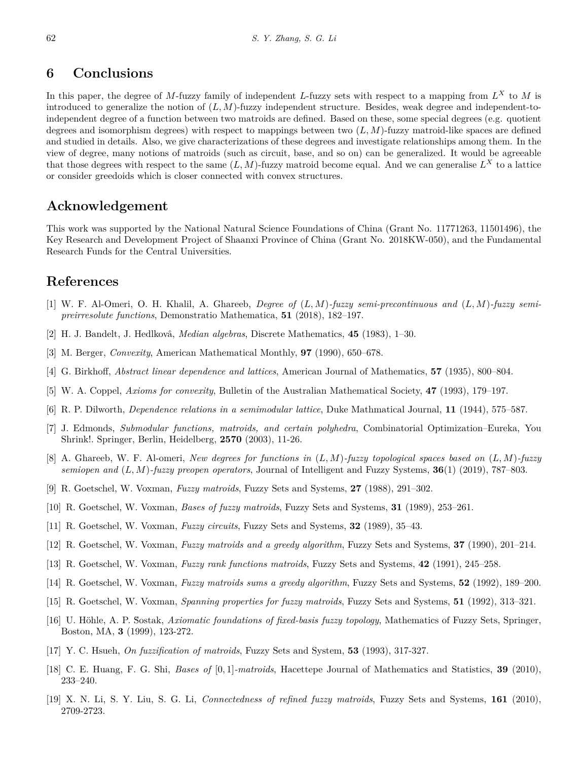#### **6 Conclusions**

In this paper, the degree of *M*-fuzzy family of independent *L*-fuzzy sets with respect to a mapping from *L <sup>X</sup>* to *M* is introduced to generalize the notion of (*L, M*)-fuzzy independent structure. Besides, weak degree and independent-toindependent degree of a function between two matroids are defined. Based on these, some special degrees (e.g. quotient degrees and isomorphism degrees) with respect to mappings between two (*L, M*)-fuzzy matroid-like spaces are defined and studied in details. Also, we give characterizations of these degrees and investigate relationships among them. In the view of degree, many notions of matroids (such as circuit, base, and so on) can be generalized. It would be agreeable that those degrees with respect to the same  $(L, M)$ -fuzzy matroid become equal. And we can generalise  $L^X$  to a lattice or consider greedoids which is closer connected with convex structures.

#### **Acknowledgement**

This work was supported by the National Natural Science Foundations of China (Grant No. 11771263, 11501496), the Key Research and Development Project of Shaanxi Province of China (Grant No. 2018KW-050), and the Fundamental Research Funds for the Central Universities.

#### **References**

- <span id="page-9-17"></span>[1] W. F. Al-Omeri, O. H. Khalil, A. Ghareeb, *Degree of* (*L, M*)*-fuzzy semi-precontinuous and* (*L, M*)*-fuzzy semipreirresolute functions*, Demonstratio Mathematica, **51** (2018), 182–197.
- <span id="page-9-2"></span>[2] H. J. Bandelt, J. Hedlkovâ, *Median algebras*, Discrete Mathematics, **45** (1983), 1–30.
- <span id="page-9-3"></span>[3] M. Berger, *Convexity*, American Mathematical Monthly, **97** (1990), 650–678.
- <span id="page-9-0"></span>[4] G. Birkhoff, *Abstract linear dependence and lattices*, American Journal of Mathematics, **57** (1935), 800–804.
- <span id="page-9-4"></span>[5] W. A. Coppel, *Axioms for convexity*, Bulletin of the Australian Mathematical Society, **47** (1993), 179–197.
- <span id="page-9-1"></span>[6] R. P. Dilworth, *Dependence relations in a semimodular lattice*, Duke Mathmatical Journal, **11** (1944), 575–587.
- <span id="page-9-13"></span>[7] J. Edmonds, *Submodular functions, matroids, and certain polyhedra*, Combinatorial Optimization–Eureka, You Shrink!. Springer, Berlin, Heidelberg, **2570** (2003), 11-26.
- <span id="page-9-16"></span>[8] A. Ghareeb, W. F. Al-omeri, *New degrees for functions in* (*L, M*)*-fuzzy topological spaces based on* (*L, M*)*-fuzzy semiopen and* (*L, M*)*-fuzzy preopen operators*, Journal of Intelligent and Fuzzy Systems, **36**(1) (2019), 787–803.
- <span id="page-9-5"></span>[9] R. Goetschel, W. Voxman, *Fuzzy matroids*, Fuzzy Sets and Systems, **27** (1988), 291–302.
- <span id="page-9-6"></span>[10] R. Goetschel, W. Voxman, *Bases of fuzzy matroids*, Fuzzy Sets and Systems, **31** (1989), 253–261.
- <span id="page-9-7"></span>[11] R. Goetschel, W. Voxman, *Fuzzy circuits*, Fuzzy Sets and Systems, **32** (1989), 35–43.
- <span id="page-9-8"></span>[12] R. Goetschel, W. Voxman, *Fuzzy matroids and a greedy algorithm*, Fuzzy Sets and Systems, **37** (1990), 201–214.
- <span id="page-9-9"></span>[13] R. Goetschel, W. Voxman, *Fuzzy rank functions matroids*, Fuzzy Sets and Systems, **42** (1991), 245–258.
- <span id="page-9-10"></span>[14] R. Goetschel, W. Voxman, *Fuzzy matroids sums a greedy algorithm*, Fuzzy Sets and Systems, **52** (1992), 189–200.
- <span id="page-9-11"></span>[15] R. Goetschel, W. Voxman, *Spanning properties for fuzzy matroids*, Fuzzy Sets and Systems, **51** (1992), 313–321.
- <span id="page-9-18"></span>[16] U. Höhle, A. P. S̆ostak, *Axiomatic foundations of fixed-basis fuzzy topology*, Mathematics of Fuzzy Sets, Springer, Boston, MA, **3** (1999), 123-272.
- <span id="page-9-14"></span>[17] Y. C. Hsueh, *On fuzzification of matroids*, Fuzzy Sets and System, **53** (1993), 317-327.
- <span id="page-9-15"></span>[18] C. E. Huang, F. G. Shi, *Bases of* [0*,* 1]*-matroids*, Hacettepe Journal of Mathematics and Statistics, **39** (2010), 233–240.
- <span id="page-9-12"></span>[19] X. N. Li, S. Y. Liu, S. G. Li, *Connectedness of refined fuzzy matroids*, Fuzzy Sets and Systems, **161** (2010), 2709-2723.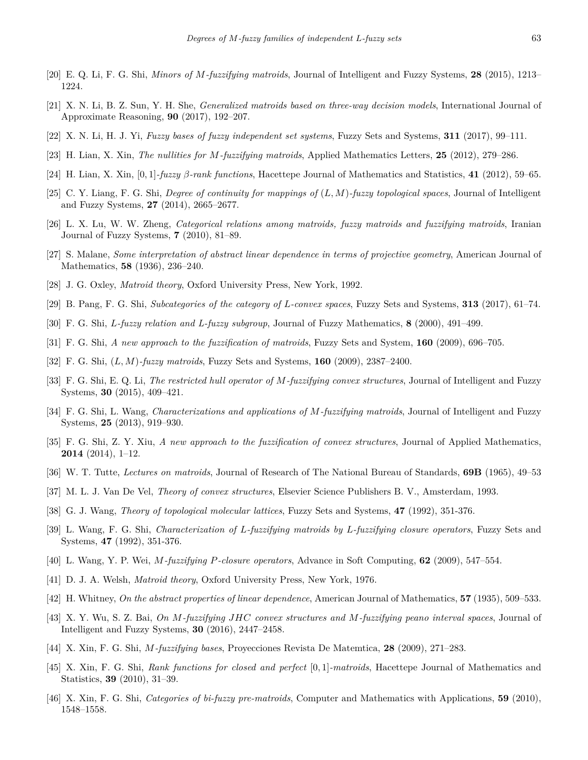- <span id="page-10-13"></span>[20] E. Q. Li, F. G. Shi, *Minors of M-fuzzifying matroids*, Journal of Intelligent and Fuzzy Systems, **28** (2015), 1213– 1224.
- <span id="page-10-11"></span>[21] X. N. Li, B. Z. Sun, Y. H. She, *Generalized matroids based on three-way decision models*, International Journal of Approximate Reasoning, **90** (2017), 192–207.
- <span id="page-10-10"></span>[22] X. N. Li, H. J. Yi, *Fuzzy bases of fuzzy independent set systems*, Fuzzy Sets and Systems, **311** (2017), 99–111.
- <span id="page-10-14"></span>[23] H. Lian, X. Xin, *The nullities for M-fuzzifying matroids*, Applied Mathematics Letters, **25** (2012), 279–286.
- <span id="page-10-21"></span>[24] H. Lian, X. Xin, [0*,* 1]*-fuzzy β-rank functions*, Hacettepe Journal of Mathematics and Statistics, **41** (2012), 59–65.
- <span id="page-10-24"></span>[25] C. Y. Liang, F. G. Shi, *Degree of continuity for mappings of* (*L, M*)*-fuzzy topological spaces*, Journal of Intelligent and Fuzzy Systems, **27** (2014), 2665–2677.
- <span id="page-10-18"></span>[26] L. X. Lu, W. W. Zheng, *Categorical relations among matroids, fuzzy matroids and fuzzifying matroids*, Iranian Journal of Fuzzy Systems, **7** (2010), 81–89.
- <span id="page-10-1"></span>[27] S. Malane, *Some interpretation of abstract linear dependence in terms of projective geometry*, American Journal of Mathematics, **58** (1936), 236–240.
- <span id="page-10-4"></span>[28] J. G. Oxley, *Matroid theory*, Oxford University Press, New York, 1992.
- <span id="page-10-9"></span>[29] B. Pang, F. G. Shi, *Subcategories of the category of L-convex spaces*, Fuzzy Sets and Systems, **313** (2017), 61–74.
- <span id="page-10-26"></span>[30] F. G. Shi, *L-fuzzy relation and L-fuzzy subgroup*, Journal of Fuzzy Mathematics, **8** (2000), 491–499.
- <span id="page-10-12"></span>[31] F. G. Shi, *A new approach to the fuzzification of matroids*, Fuzzy Sets and System, **160** (2009), 696–705.
- <span id="page-10-20"></span>[32] F. G. Shi, (*L, M*)*-fuzzy matroids*, Fuzzy Sets and Systems, **160** (2009), 2387–2400.
- <span id="page-10-7"></span>[33] F. G. Shi, E. Q. Li, *The restricted hull operator of M-fuzzifying convex structures*, Journal of Intelligent and Fuzzy Systems, **30** (2015), 409–421.
- <span id="page-10-15"></span>[34] F. G. Shi, L. Wang, *Characterizations and applications of M-fuzzifying matroids*, Journal of Intelligent and Fuzzy Systems, **25** (2013), 919–930.
- <span id="page-10-6"></span>[35] F. G. Shi, Z. Y. Xiu, *A new approach to the fuzzification of convex structures*, Journal of Applied Mathematics, **2014** (2014), 1–12.
- <span id="page-10-2"></span>[36] W. T. Tutte, *Lectures on matroids*, Journal of Research of The National Bureau of Standards, **69B** (1965), 49–53
- <span id="page-10-5"></span>[37] M. L. J. Van De Vel, *Theory of convex structures*, Elsevier Science Publishers B. V., Amsterdam, 1993.
- <span id="page-10-25"></span>[38] G. J. Wang, *Theory of topological molecular lattices*, Fuzzy Sets and Systems, **47** (1992), 351-376.
- <span id="page-10-16"></span>[39] L. Wang, F. G. Shi, *Characterization of L-fuzzifying matroids by L-fuzzifying closure operators*, Fuzzy Sets and Systems, **47** (1992), 351-376.
- <span id="page-10-17"></span>[40] L. Wang, Y. P. Wei, *M-fuzzifying P-closure operators*, Advance in Soft Computing, **62** (2009), 547–554.
- <span id="page-10-3"></span>[41] D. J. A. Welsh, *Matroid theory*, Oxford University Press, New York, 1976.
- <span id="page-10-0"></span>[42] H. Whitney, *On the abstract properties of linear dependence*, American Journal of Mathematics, **57** (1935), 509–533.
- <span id="page-10-8"></span>[43] X. Y. Wu, S. Z. Bai, *On M-fuzzifying JHC convex structures and M-fuzzifying peano interval spaces*, Journal of Intelligent and Fuzzy Systems, **30** (2016), 2447–2458.
- <span id="page-10-19"></span>[44] X. Xin, F. G. Shi, *M-fuzzifying bases*, Proyecciones Revista De Matemtica, **28** (2009), 271–283.
- <span id="page-10-22"></span>[45] X. Xin, F. G. Shi, *Rank functions for closed and perfect* [0*,* 1]*-matroids*, Hacettepe Journal of Mathematics and Statistics, **39** (2010), 31–39.
- <span id="page-10-23"></span>[46] X. Xin, F. G. Shi, *Categories of bi-fuzzy pre-matroids*, Computer and Mathematics with Applications, **59** (2010), 1548–1558.